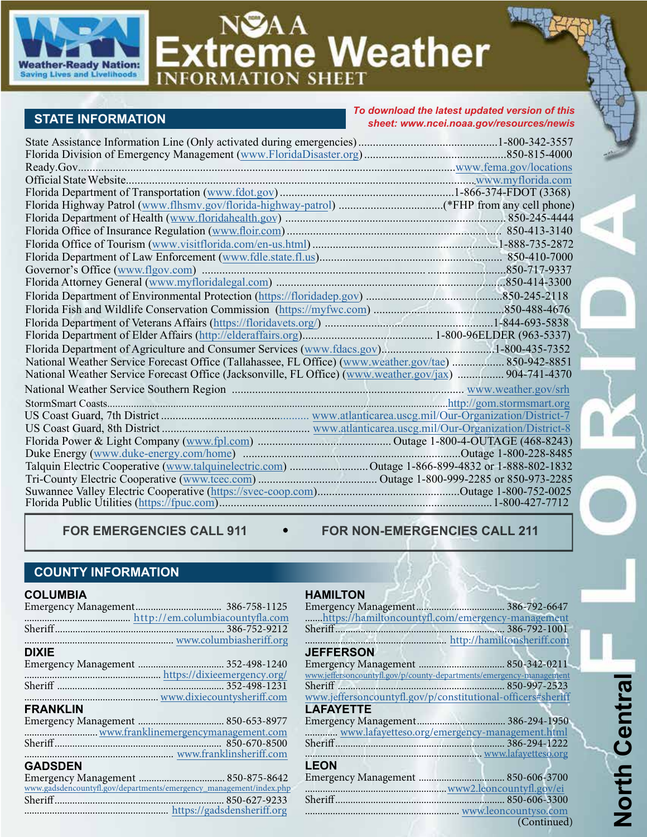

# NSAA<br>Extreme Weather

# **STATE INFORMATION**

*To download the latest updated version of this sheet: [www.ncei.noaa.gov/resources/newis](https://www.ncei.noaa.gov/resources/newis)*

| Florida Department of Agriculture and Consumer Services (www.fdacs.gov)1-800-435-7352                  |  |
|--------------------------------------------------------------------------------------------------------|--|
| National Weather Service Forecast Office (Tallahassee, FL Office) (www.weather.gov/tae)  850-942-8851  |  |
| National Weather Service Forecast Office (Jacksonville, FL Office) (www.weather.gov/jax)  904-741-4370 |  |
|                                                                                                        |  |
|                                                                                                        |  |
|                                                                                                        |  |
|                                                                                                        |  |
|                                                                                                        |  |
|                                                                                                        |  |
|                                                                                                        |  |
|                                                                                                        |  |
|                                                                                                        |  |
|                                                                                                        |  |

FOR EMERGENCIES CALL 911 . FOR NON-EMERGENCIES CALL 211

# **COUNTY INFORMATION**

#### **COLUMBIA**

| http://em.columbiacountyfla.com                                    |  |
|--------------------------------------------------------------------|--|
|                                                                    |  |
|                                                                    |  |
| <b>DIXIE</b>                                                       |  |
|                                                                    |  |
|                                                                    |  |
|                                                                    |  |
| www.dixiecountysheriff.com                                         |  |
| <b>FRANKLIN</b>                                                    |  |
|                                                                    |  |
|                                                                    |  |
|                                                                    |  |
|                                                                    |  |
| <b>GADSDEN</b>                                                     |  |
|                                                                    |  |
| www.gadsdencountyfl.gov/departments/emergency_management/index.php |  |
|                                                                    |  |
|                                                                    |  |

#### **HAMILTON**

| https://hamiltoncountyfl.com/emergency-management                   |             |
|---------------------------------------------------------------------|-------------|
|                                                                     |             |
|                                                                     |             |
| <b>JEFFERSON</b>                                                    |             |
|                                                                     |             |
|                                                                     |             |
| www.jeffersoncountyfl.gov/p/county-departments/emergency-management |             |
|                                                                     |             |
| www.jeffersoncountyfl.gov/p/constitutional-officers#sheriff         |             |
| <b>LAFAYETTE</b>                                                    |             |
|                                                                     |             |
| www.lafayetteso.org/emergency-management.html                       |             |
|                                                                     |             |
|                                                                     |             |
| <b>LEON</b>                                                         |             |
|                                                                     |             |
|                                                                     |             |
|                                                                     |             |
|                                                                     |             |
|                                                                     |             |
|                                                                     | (Continued) |